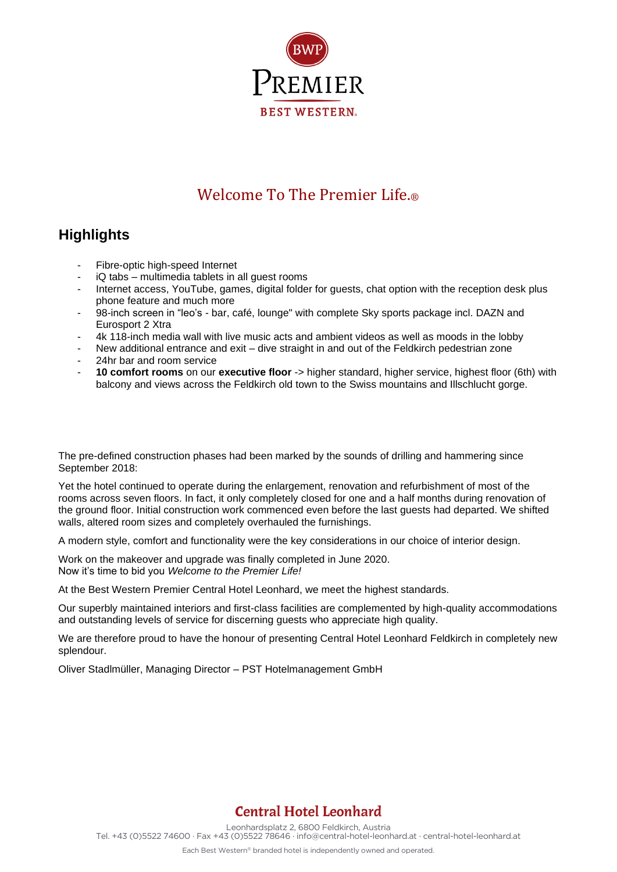

## Welcome To The Premier Life

### **Highlights**

- Fibre-optic high-speed Internet
- $iQ$  tabs multimedia tablets in all guest rooms
- Internet access, YouTube, games, digital folder for guests, chat option with the reception desk plus phone feature and much more
- 98-inch screen in "leo's bar, café, lounge" with complete Sky sports package incl. DAZN and Eurosport 2 Xtra
- 4k 118-inch media wall with live music acts and ambient videos as well as moods in the lobby
- New additional entrance and exit dive straight in and out of the Feldkirch pedestrian zone
- 24hr bar and room service
- **10 comfort rooms** on our **executive floor** -> higher standard, higher service, highest floor (6th) with balcony and views across the Feldkirch old town to the Swiss mountains and Illschlucht gorge.

The pre-defined construction phases had been marked by the sounds of drilling and hammering since September 2018:

Yet the hotel continued to operate during the enlargement, renovation and refurbishment of most of the rooms across seven floors. In fact, it only completely closed for one and a half months during renovation of the ground floor. Initial construction work commenced even before the last guests had departed. We shifted walls, altered room sizes and completely overhauled the furnishings.

A modern style, comfort and functionality were the key considerations in our choice of interior design.

Work on the makeover and upgrade was finally completed in June 2020. Now it's time to bid you *Welcome to the Premier Life!*

At the Best Western Premier Central Hotel Leonhard, we meet the highest standards.

Our superbly maintained interiors and first-class facilities are complemented by high-quality accommodations and outstanding levels of service for discerning guests who appreciate high quality.

We are therefore proud to have the honour of presenting Central Hotel Leonhard Feldkirch in completely new splendour.

Oliver Stadlmüller, Managing Director – PST Hotelmanagement GmbH

## Central Hotel Leonhard

Leonhardsplatz 2, 6800 Feldkirch, Austria Tel. +43 (0)5522 74600 · Fax +43 (0)5522 78646 [· info@central-hotel-leonhard.at](mailto:info@central-hotel-leonhard.at) [· central-hotel-leonhard.at](http://www.central-hotel-leonhard.at/)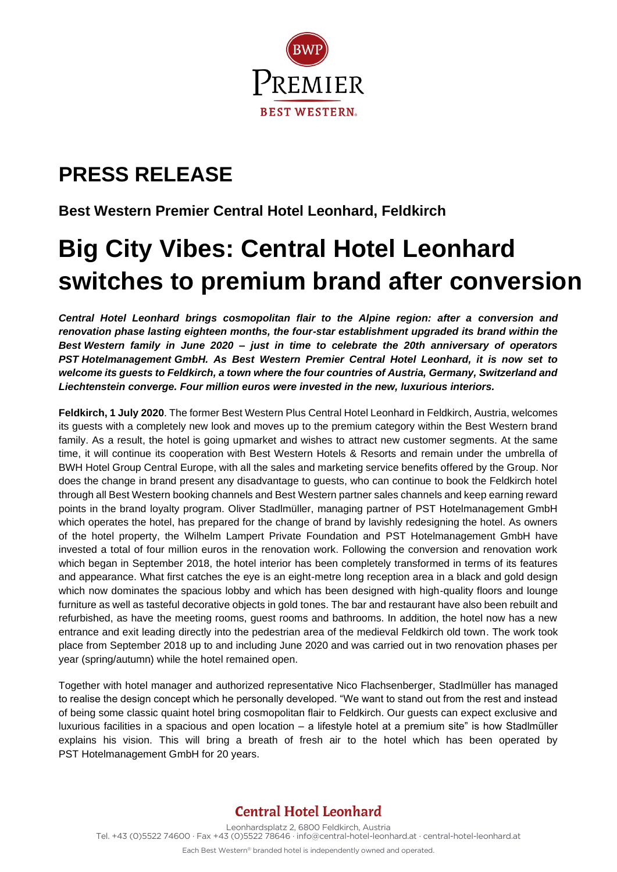

## **PRESS RELEASE**

**Best Western Premier Central Hotel Leonhard, Feldkirch**

# **Big City Vibes: Central Hotel Leonhard switches to premium brand after conversion**

*Central Hotel Leonhard brings cosmopolitan flair to the Alpine region: after a conversion and renovation phase lasting eighteen months, the four-star establishment upgraded its brand within the Best Western family in June 2020 – just in time to celebrate the 20th anniversary of operators PST Hotelmanagement GmbH. As Best Western Premier Central Hotel Leonhard, it is now set to welcome its guests to Feldkirch, a town where the four countries of Austria, Germany, Switzerland and Liechtenstein converge. Four million euros were invested in the new, luxurious interiors.*

**Feldkirch, 1 July 2020**. The former Best Western Plus Central Hotel Leonhard in Feldkirch, Austria, welcomes its guests with a completely new look and moves up to the premium category within the Best Western brand family. As a result, the hotel is going upmarket and wishes to attract new customer segments. At the same time, it will continue its cooperation with Best Western Hotels & Resorts and remain under the umbrella of BWH Hotel Group Central Europe, with all the sales and marketing service benefits offered by the Group. Nor does the change in brand present any disadvantage to guests, who can continue to book the Feldkirch hotel through all Best Western booking channels and Best Western partner sales channels and keep earning reward points in the brand loyalty program. Oliver Stadlmüller, managing partner of PST Hotelmanagement GmbH which operates the hotel, has prepared for the change of brand by lavishly redesigning the hotel. As owners of the hotel property, the Wilhelm Lampert Private Foundation and PST Hotelmanagement GmbH have invested a total of four million euros in the renovation work. Following the conversion and renovation work which began in September 2018, the hotel interior has been completely transformed in terms of its features and appearance. What first catches the eye is an eight-metre long reception area in a black and gold design which now dominates the spacious lobby and which has been designed with high-quality floors and lounge furniture as well as tasteful decorative objects in gold tones. The bar and restaurant have also been rebuilt and refurbished, as have the meeting rooms, guest rooms and bathrooms. In addition, the hotel now has a new entrance and exit leading directly into the pedestrian area of the medieval Feldkirch old town. The work took place from September 2018 up to and including June 2020 and was carried out in two renovation phases per year (spring/autumn) while the hotel remained open.

Together with hotel manager and authorized representative Nico Flachsenberger, Stadlmüller has managed to realise the design concept which he personally developed. "We want to stand out from the rest and instead of being some classic quaint hotel bring cosmopolitan flair to Feldkirch. Our guests can expect exclusive and luxurious facilities in a spacious and open location – a lifestyle hotel at a premium site" is how Stadlmüller explains his vision. This will bring a breath of fresh air to the hotel which has been operated by PST Hotelmanagement GmbH for 20 years.

#### Central Hotel Leonhard Leonhardsplatz 2, 6800 Feldkirch, Austria Tel. +43 (0)5522 74600 · Fax +43 (0)5522 78646 [· info@central-hotel-leonhard.at](mailto:info@central-hotel-leonhard.at) [· central-hotel-leonhard.at](http://www.central-hotel-leonhard.at/) Each Best Western® branded hotel is independently owned and operated.